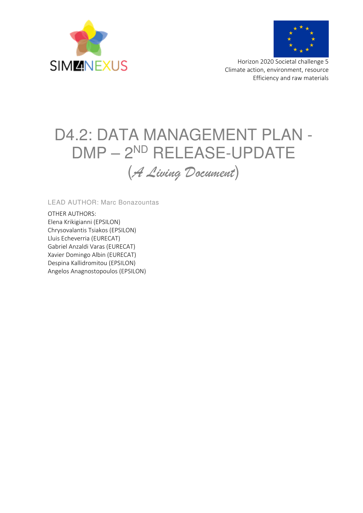



 Horizon 2020 Societal challenge 5 Climate action, environment, resource Efficiency and raw materials

# D4.2: DATA MANAGEMENT PLAN - DMP – 2ND RELEASE-UPDATE (*A Living Document*)

LEAD AUTHOR: Marc Bonazountas

OTHER AUTHORS: Elena Krikigianni (EPSILON) Chrysovalantis Tsiakos (EPSILON) Lluis Echeverria (EURECAT) Gabriel Anzaldi Varas (EURECAT) Xavier Domingo Albin (EURECAT) Despina Kallidromitou (EPSILON) Angelos Anagnostopoulos (EPSILON)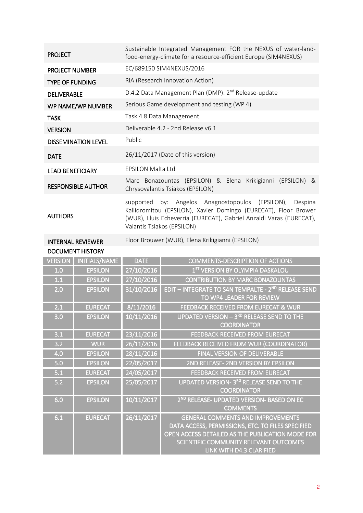| <b>PROJECT</b>             | Sustainable Integrated Management FOR the NEXUS of water-land-<br>food-energy-climate for a resource-efficient Europe (SIM4NEXUS)                                                                                                   |  |  |
|----------------------------|-------------------------------------------------------------------------------------------------------------------------------------------------------------------------------------------------------------------------------------|--|--|
| <b>PROJECT NUMBER</b>      | EC/689150 SIM4NEXUS/2016                                                                                                                                                                                                            |  |  |
| <b>TYPE OF FUNDING</b>     | RIA (Research Innovation Action)                                                                                                                                                                                                    |  |  |
| <b>DELIVERABLE</b>         | D.4.2 Data Management Plan (DMP): 2 <sup>nd</sup> Release-update                                                                                                                                                                    |  |  |
| WP NAME/WP NUMBER          | Serious Game development and testing (WP 4)                                                                                                                                                                                         |  |  |
| <b>TASK</b>                | Task 4.8 Data Management                                                                                                                                                                                                            |  |  |
| <b>VERSION</b>             | Deliverable 4.2 - 2nd Release v6.1                                                                                                                                                                                                  |  |  |
| <b>DISSEMINATION LEVEL</b> | Public                                                                                                                                                                                                                              |  |  |
| <b>DATE</b>                | 26/11/2017 (Date of this version)                                                                                                                                                                                                   |  |  |
| <b>LEAD BENEFICIARY</b>    | <b>FPSILON Malta Ltd</b>                                                                                                                                                                                                            |  |  |
| <b>RESPONSIBLE AUTHOR</b>  | Marc Bonazountas (EPSILON) & Elena Krikigianni (EPSILON) &<br>Chrysovalantis Tsiakos (EPSILON)                                                                                                                                      |  |  |
| <b>AUTHORS</b>             | supported by: Angelos Anagnostopoulos (EPSILON),<br>Despina<br>Kallidromitou (EPSILON), Xavier Domingo (EURECAT), Floor Brower<br>(WUR), Lluis Echeverria (EURECAT), Gabriel Anzaldi Varas (EURECAT),<br>Valantis Tsiakos (EPSILON) |  |  |
| <b>INTERNAL REVIEWER</b>   | Floor Brouwer (WUR), Elena Krikigianni (EPSILON)                                                                                                                                                                                    |  |  |

| <b>DOCUMENT HISTORY</b> |  |
|-------------------------|--|

| <b>VERSION</b> | <b>INITIALS/NAME</b> | <b>DATE</b> | <b>COMMENTS-DESCRIPTION OF ACTIONS</b>                                                                                                                                                                                  |
|----------------|----------------------|-------------|-------------------------------------------------------------------------------------------------------------------------------------------------------------------------------------------------------------------------|
| 1.0            | <b>EPSILON</b>       | 27/10/2016  | 1 <sup>ST</sup> VERSION BY OLYMPIA DASKALOU                                                                                                                                                                             |
| 1.1            | <b>EPSILON</b>       | 27/10/2016  | <b>CONTRIBUTION BY MARC BONAZOUNTAS</b>                                                                                                                                                                                 |
| 2.0            | <b>EPSILON</b>       | 31/10/2016  | EDIT - INTEGRATE TO S4N TEMPALTE - 2ND RELEASE SEND<br>TO WP4 LEADER FOR REVIEW                                                                                                                                         |
| 2.1            | <b>EURECAT</b>       | 8/11/2016   | FEEDBACK RECEIVED FROM EURECAT & WUR                                                                                                                                                                                    |
| 3.0            | <b>EPSILON</b>       | 10/11/2016  | UPDATED VERSION - 3RD RELEASE SEND TO THE<br><b>COORDINATOR</b>                                                                                                                                                         |
| 3.1            | <b>EURECAT</b>       | 23/11/2016  | <b>FEEDBACK RECEIVED FROM EURECAT</b>                                                                                                                                                                                   |
| 3.2            | <b>WUR</b>           | 26/11/2016  | FEEDBACK RECEIVED FROM WUR (COORDINATOR)                                                                                                                                                                                |
| 4.0            | <b>EPSILON</b>       | 28/11/2016  | FINAL VERSION OF DELIVERABLE                                                                                                                                                                                            |
| 5.0            | <b>EPSILON</b>       | 22/05/2017  | 2ND RELEASE- 2ND VERSION BY EPSILON                                                                                                                                                                                     |
| 5.1            | <b>EURECAT</b>       | 24/05/2017  | <b>FEEDBACK RECEIVED FROM EURECAT</b>                                                                                                                                                                                   |
| 5.2            | <b>EPSILON</b>       | 25/05/2017  | <b>UPDATED VERSION- 3RD RELEASE SEND TO THE</b><br><b>COORDINATOR</b>                                                                                                                                                   |
| 6.0            | <b>EPSILON</b>       | 10/11/2017  | 2 <sup>ND</sup> RELEASE- UPDATED VERSION- BASED ON EC<br><b>COMMENTS</b>                                                                                                                                                |
| 6.1            | <b>EURECAT</b>       | 26/11/2017  | <b>GENERAL COMMENTS AND IMPROVEMENTS</b><br>DATA ACCESS, PERMISSIONS, ETC. TO FILES SPECIFIED<br>OPEN ACCESS DETAILED AS THE PUBLICATION MODE FOR<br>SCIENTIFIC COMMUNITY RELEVANT OUTCOMES<br>LINK WITH D4.3 CLARIFIED |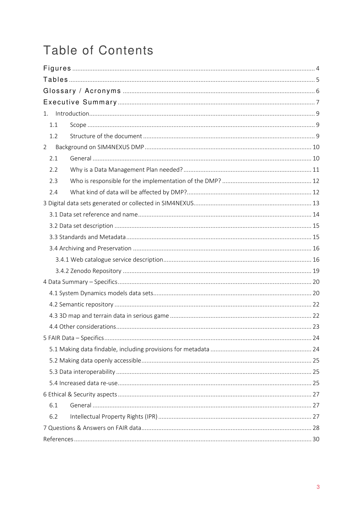# **Table of Contents**

| 1.             |  |  |  |
|----------------|--|--|--|
| 1.1            |  |  |  |
| 1.2            |  |  |  |
| $\overline{2}$ |  |  |  |
| 2.1            |  |  |  |
| 2.2            |  |  |  |
| 2.3            |  |  |  |
| 2.4            |  |  |  |
|                |  |  |  |
|                |  |  |  |
|                |  |  |  |
|                |  |  |  |
|                |  |  |  |
|                |  |  |  |
|                |  |  |  |
|                |  |  |  |
|                |  |  |  |
|                |  |  |  |
|                |  |  |  |
|                |  |  |  |
|                |  |  |  |
|                |  |  |  |
|                |  |  |  |
|                |  |  |  |
|                |  |  |  |
|                |  |  |  |
| 6.1            |  |  |  |
| 6.2            |  |  |  |
|                |  |  |  |
|                |  |  |  |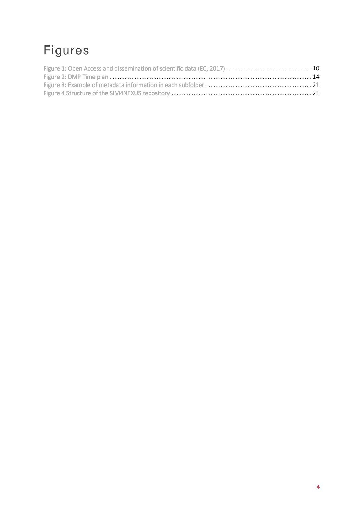# Figures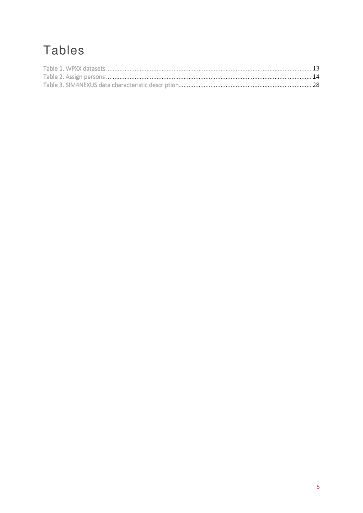# **Tables**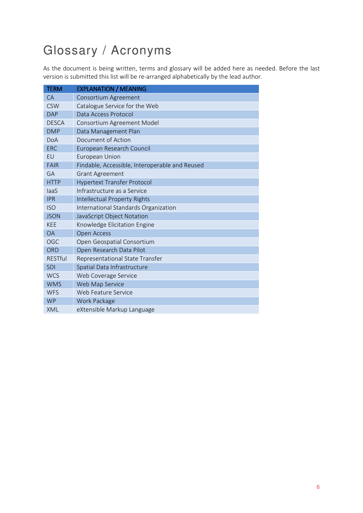# Glossary / Acronyms

As the document is being written, terms and glossary will be added here as needed. Before the last version is submitted this list will be re-arranged alphabetically by the lead author.

| <b>TERM</b>    | <b>EXPLANATION / MEANING</b>                   |
|----------------|------------------------------------------------|
| <b>CA</b>      | Consortium Agreement                           |
| <b>CSW</b>     | Catalogue Service for the Web                  |
| <b>DAP</b>     | Data Access Protocol                           |
| <b>DESCA</b>   | Consortium Agreement Model                     |
| <b>DMP</b>     | Data Management Plan                           |
| DoA            | Document of Action                             |
| <b>ERC</b>     | European Research Council                      |
| EU             | European Union                                 |
| <b>FAIR</b>    | Findable, Accessible, Interoperable and Reused |
| GA             | <b>Grant Agreement</b>                         |
| <b>HTTP</b>    | <b>Hypertext Transfer Protocol</b>             |
| laaS           | Infrastructure as a Service                    |
| <b>IPR</b>     | Intellectual Property Rights                   |
| <b>ISO</b>     | International Standards Organization           |
| <b>JSON</b>    | JavaScript Object Notation                     |
| <b>KEE</b>     | Knowledge Elicitation Engine                   |
| <b>OA</b>      | <b>Open Access</b>                             |
| OGC            | Open Geospatial Consortium                     |
| <b>ORD</b>     | Open Research Data Pilot                       |
| <b>RESTful</b> | Representational State Transfer                |
| <b>SDI</b>     | Spatial Data Infrastructure                    |
| <b>WCS</b>     | Web Coverage Service                           |
| <b>WMS</b>     | Web Map Service                                |
| <b>WFS</b>     | Web Feature Service                            |
| <b>WP</b>      | Work Package                                   |
| XML            | eXtensible Markup Language                     |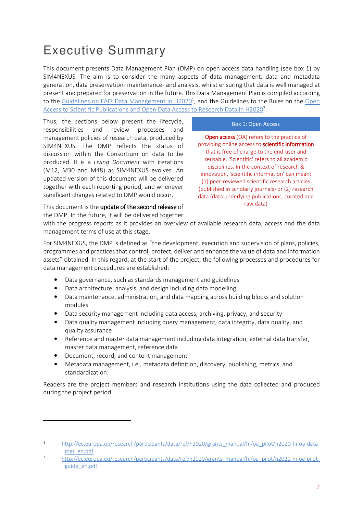# Executive Summary

This document presents Data Management Plan (DMP) on open access data handling (see box 1) by SIM4NEXUS. The aim is to consider the many aspects of data management, data and metadata generation, data preservation- maintenance- and analysis, whilst ensuring that data is well managed at present and prepared for preservation in the future. This Data Management Plan is compiled according to the Guidelines on FAIR Data Management in H2020<sup>1</sup>, and the Guidelines to the Rules on the Open Access to Scientific Publications and Open Data Access to Research Data in H2020<sup>2</sup>.

Thus, the sections below present the lifecycle, responsibilities and review processes and management policies of research data, produced by SIM4NEXUS. The DMP reflects the status of discussion within the Consortium on data to be produced. It is a *Living Document* with iterations (M12, M30 and M48) as SIM4NEXUS evolves. An updated version of this document will be delivered together with each reporting period, and whenever significant changes related to DMP would occur.

#### Box 1: Open Access

**Open access** (OA) refers to the practice of providing online access to scientific information that is free of charge to the end-user and reusable. 'Scientific' refers to all academic disciplines. In the context of research & innovation, 'scientific information' can mean: (1) peer-reviewed scientific research articles (published in scholarly journals) or (2) research data (data underlying publications, curated and raw data)

This document is the update of the second release of the DMP. In the future, it will be delivered together

with the progress reports as it provides an overview of available research data, access and the data management terms of use at this stage.

For SIM4NEXUS, the DMP is defined as "the development, execution and supervision of plans, policies, programmes and practices that control, protect, deliver and enhance the value of data and information assets" obtained. In this regard, at the start of the project, the following processes and procedures for data management procedures are established:

- Data governance, such as standards management and guidelines
- Data architecture, analysis, and design including data modelling
- Data maintenance, administration, and data mapping across building blocks and solution modules
- Data security management including data access, archiving, privacy, and security
- Data quality management including query management, data integrity, data quality, and quality assurance
- Reference and master data management including data integration, external data transfer, master data management, reference data
- Document, record, and content management

 $\overline{a}$ 

• Metadata management, i.e., metadata definition, discovery, publishing, metrics, and standardization.

Readers are the project members and research institutions using the data collected and produced during the project period.

<sup>1</sup> http://ec.europa.eu/research/participants/data/ref/h2020/grants\_manual/hi/oa\_pilot/h2020-hi-oa-datamgt\_en.pdf

<sup>2</sup> http://ec.europa.eu/research/participants/data/ref/h2020/grants\_manual/hi/oa\_pilot/h2020-hi-oa-pilotguide\_en.pdf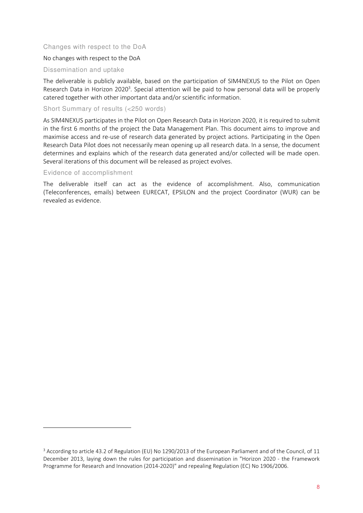#### Changes with respect to the DoA

#### No changes with respect to the DoA

#### Dissemination and uptake

The deliverable is publicly available, based on the participation of SIM4NEXUS to the Pilot on Open Research Data in Horizon 2020<sup>3</sup>. Special attention will be paid to how personal data will be properly catered together with other important data and/or scientific information.

#### Short Summary of results (<250 words)

As SIM4NEXUS participates in the Pilot on Open Research Data in Horizon 2020, it is required to submit in the first 6 months of the project the Data Management Plan. This document aims to improve and maximise access and re-use of research data generated by project actions. Participating in the Open Research Data Pilot does not necessarily mean opening up all research data. In a sense, the document determines and explains which of the research data generated and/or collected will be made open. Several iterations of this document will be released as project evolves.

#### Evidence of accomplishment

l

The deliverable itself can act as the evidence of accomplishment. Also, communication (Teleconferences, emails) between EURECAT, EPSILON and the project Coordinator (WUR) can be revealed as evidence.

<sup>&</sup>lt;sup>3</sup> According to article 43.2 of Regulation (EU) No 1290/2013 of the European Parliament and of the Council, of 11 December 2013, laying down the rules for participation and dissemination in "Horizon 2020 - the Framework Programme for Research and Innovation (2014-2020)" and repealing Regulation (EC) No 1906/2006.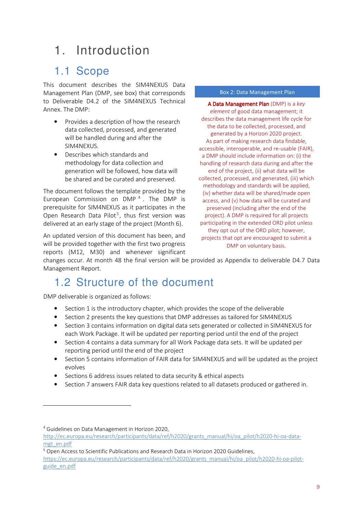## 1. Introduction

### 1.1 Scope

This document describes the SIM4NEXUS Data Management Plan (DMP, see box) that corresponds to Deliverable D4.2 of the SIM4NEXUS Technical Annex. The DMP:

- Provides a description of how the research data collected, processed, and generated will be handled during and after the SIM4NEXUS.
- Describes which standards and methodology for data collection and generation will be followed, how data will be shared and be curated and preserved.

The document follows the template provided by the European Commission on  $\text{DMP}^4$ . The DMP is prerequisite for SIM4NEXUS as it participates in the Open Research Data Pilot<sup>5</sup>, thus first version was delivered at an early stage of the project (Month 6).

An updated version of this document has been, and will be provided together with the first two progress reports (M12, M30) and whenever significant Box 2: Data Management Plan

A Data Management Plan (DMP) is a key *element* of good data management; it describes the data management life cycle for the data to be collected, processed, and generated by a Horizon 2020 project. As part of making research data findable, accessible, interoperable, and re-usable (FAIR), a DMP should include information on: (i) the handling of research data during and after the end of the project, (ii) what data will be collected, processed, and generated, (iii) which methodology and standards will be applied, (iv) whether data will be shared/made open access, and (v) how data will be curated and preserved (including after the end of the project). A DMP is required for all projects participating in the extended ORD pilot unless they opt out of the ORD pilot; however, projects that opt are encouraged to submit a DMP on voluntary basis.

changes occur. At month 48 the final version will be provided as Appendix to deliverable D4.7 Data Management Report.

### 1.2 Structure of the document

DMP deliverable is organized as follows:

- Section 1 is the introductory chapter, which provides the scope of the deliverable
- Section 2 presents the key questions that DMP addresses as tailored for SIM4NEXUS
- Section 3 contains information on digital data sets generated or collected in SIM4NEXUS for each Work Package. It will be updated per reporting period until the end of the project
- Section 4 contains a data summary for all Work Package data sets. It will be updated per reporting period until the end of the project
- Section 5 contains information of FAIR data for SIM4NEXUS and will be updated as the project evolves
- Sections 6 address issues related to data security & ethical aspects
- Section 7 answers FAIR data key questions related to all datasets produced or gathered in.

 $\overline{a}$ 

<sup>4</sup> Guidelines on Data Management in Horizon 2020,

http://ec.europa.eu/research/participants/data/ref/h2020/grants\_manual/hi/oa\_pilot/h2020-hi-oa-datamgt\_en.pdf

<sup>&</sup>lt;sup>5</sup> Open Access to Scientific Publications and Research Data in Horizon 2020 Guidelines, https://ec.europa.eu/research/participants/data/ref/h2020/grants\_manual/hi/oa\_pilot/h2020-hi-oa-pilotguide\_en.pdf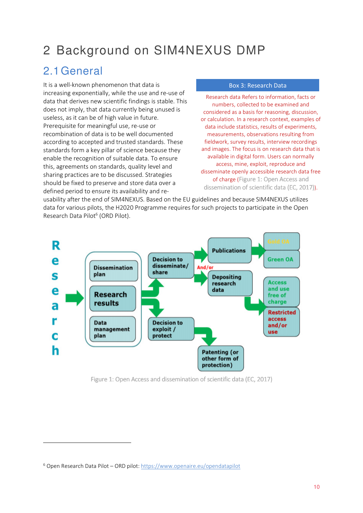## 2 Background on SIM4NEXUS DMP

### 2.1General

It is a well-known phenomenon that data is increasing exponentially, while the use and re-use of data that derives new scientific findings is stable. This does not imply, that data currently being unused is useless, as it can be of high value in future. Prerequisite for meaningful use, re-use or recombination of data is to be well documented according to accepted and trusted standards. These standards form a key pillar of science because they enable the recognition of suitable data. To ensure this, agreements on standards, quality level and sharing practices are to be discussed. Strategies should be fixed to preserve and store data over a defined period to ensure its availability and re-

#### Box 3: Research Data

Research data Refers to information, facts or numbers, collected to be examined and considered as a basis for reasoning, discussion, or calculation. In a research context, examples of data include statistics, results of experiments, measurements, observations resulting from fieldwork, survey results, interview recordings and images. The focus is on research data that is available in digital form. Users can normally access, mine, exploit, reproduce and disseminate openly accessible research data free of charge (Figure 1: Open Access and dissemination of scientific data (EC, 2017)).

usability after the end of SIM4NEXUS. Based on the EU guidelines and because SIM4NEXUS utilizes data for various pilots, the H2020 Programme requires for such projects to participate in the Open Research Data Pilot<sup>6</sup> (ORD Pilot).



Figure 1: Open Access and dissemination of scientific data (EC, 2017)

l

<sup>&</sup>lt;sup>6</sup> Open Research Data Pilot – ORD pilot: https://www.openaire.eu/opendatapilot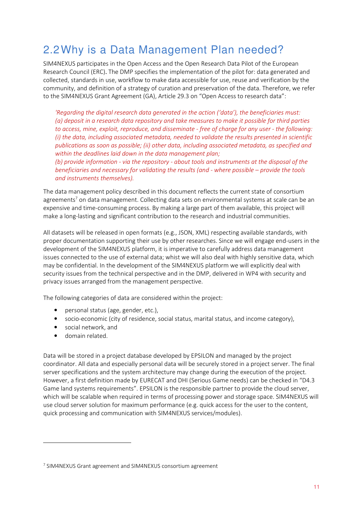## 2.2Why is a Data Management Plan needed?

SIM4NEXUS participates in the Open Access and the Open Research Data Pilot of the European Research Council (ERC). The DMP specifies the implementation of the pilot for: data generated and collected, standards in use, workflow to make data accessible for use, reuse and verification by the community, and definition of a strategy of curation and preservation of the data. Therefore, we refer to the SIM4NEXUS Grant Agreement (GA), Article 29.3 on "Open Access to research data":

*'Regarding the digital research data generated in the action ('data'), the beneficiaries must: (a) deposit in a research data repository and take measures to make it possible for third parties to access, mine, exploit, reproduce, and disseminate - free of charge for any user - the following: (i) the data, including associated metadata, needed to validate the results presented in scientific publications as soon as possible; (ii) other data, including associated metadata, as specified and within the deadlines laid down in the data management plan;* 

*(b) provide information - via the repository - about tools and instruments at the disposal of the beneficiaries and necessary for validating the results (and - where possible – provide the tools and instruments themselves).* 

The data management policy described in this document reflects the current state of consortium agreements<sup>7</sup> on data management. Collecting data sets on environmental systems at scale can be an expensive and time-consuming process. By making a large part of them available, this project will make a long-lasting and significant contribution to the research and industrial communities.

All datasets will be released in open formats (e.g., JSON, XML) respecting available standards, with proper documentation supporting their use by other researches. Since we will engage end-users in the development of the SIM4NEXUS platform, it is imperative to carefully address data management issues connected to the use of external data; whist we will also deal with highly sensitive data, which may be confidential. In the development of the SIM4NEXUS platform we will explicitly deal with security issues from the technical perspective and in the DMP, delivered in WP4 with security and privacy issues arranged from the management perspective.

The following categories of data are considered within the project:

- personal status (age, gender, etc.),
- socio-economic (city of residence, social status, marital status, and income category),
- social network, and
- domain related.

l

Data will be stored in a project database developed by EPSILON and managed by the project coordinator. All data and especially personal data will be securely stored in a project server. The final server specifications and the system architecture may change during the execution of the project. However, a first definition made by EURECAT and DHI (Serious Game needs) can be checked in "D4.3 Game land systems requirements". EPSILON is the responsible partner to provide the cloud server, which will be scalable when required in terms of processing power and storage space. SIM4NEXUS will use cloud server solution for maximum performance (e.g. quick access for the user to the content, quick processing and communication with SIM4NEXUS services/modules).

<sup>&</sup>lt;sup>7</sup> SIM4NEXUS Grant agreement and SIM4NEXUS consortium agreement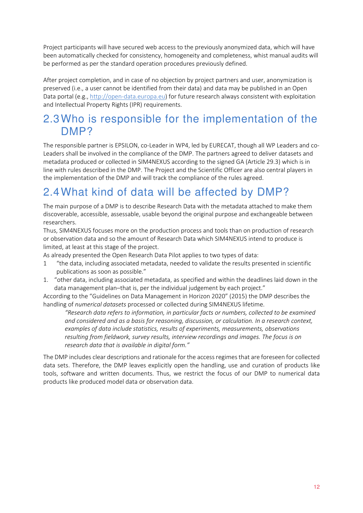Project participants will have secured web access to the previously anonymized data, which will have been automatically checked for consistency, homogeneity and completeness, whist manual audits will be performed as per the standard operation procedures previously defined.

After project completion, and in case of no objection by project partners and user, anonymization is preserved (i.e., a user cannot be identified from their data) and data may be published in an Open Data portal (e.g., http://open-data.europa.eu) for future research always consistent with exploitation and Intellectual Property Rights (IPR) requirements.

### 2.3Who is responsible for the implementation of the DMP?

The responsible partner is EPSILON, co-Leader in WP4, led by EURECAT, though all WP Leaders and co-Leaders shall be involved in the compliance of the DMP. The partners agreed to deliver datasets and metadata produced or collected in SIM4NEXUS according to the signed GA (Article 29.3) which is in line with rules described in the DMP. The Project and the Scientific Officer are also central players in the implementation of the DMP and will track the compliance of the rules agreed.

## 2.4What kind of data will be affected by DMP?

The main purpose of a DMP is to describe Research Data with the metadata attached to make them discoverable, accessible, assessable, usable beyond the original purpose and exchangeable between researchers.

Thus, SIM4NEXUS focuses more on the production process and tools than on production of research or observation data and so the amount of Research Data which SIM4NEXUS intend to produce is limited, at least at this stage of the project.

As already presented the Open Research Data Pilot applies to two types of data:

- 1 "the data, including associated metadata, needed to validate the results presented in scientific publications as soon as possible."
- 1. "other data, including associated metadata, as specified and within the deadlines laid down in the data management plan–that is, per the individual judgement by each project."

According to the "Guidelines on Data Management in Horizon 2020" (2015) the DMP describes the handling of *numerical datasets* processed or collected during SIM4NEXUS lifetime.

*"Research data refers to information, in particular facts or numbers, collected to be examined and considered and as a basis for reasoning, discussion, or calculation. In a research context, examples of data include statistics, results of experiments, measurements, observations resulting from fieldwork, survey results, interview recordings and images. The focus is on research data that is available in digital form."* 

The DMP includes clear descriptions and rationale for the access regimes that are foreseen for collected data sets. Therefore, the DMP leaves explicitly open the handling, use and curation of products like tools, software and written documents. Thus, we restrict the focus of our DMP to numerical data products like produced model data or observation data.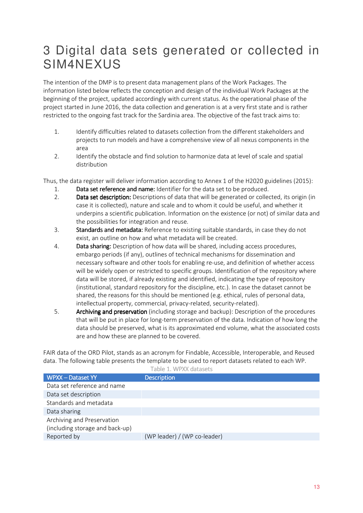## 3 Digital data sets generated or collected in SIM4NEXUS

The intention of the DMP is to present data management plans of the Work Packages. The information listed below reflects the conception and design of the individual Work Packages at the beginning of the project, updated accordingly with current status. As the operational phase of the project started in June 2016, the data collection and generation is at a very first state and is rather restricted to the ongoing fast track for the Sardinia area. The objective of the fast track aims to:

- 1. Identify difficulties related to datasets collection from the different stakeholders and projects to run models and have a comprehensive view of all nexus components in the area
- 2. Identify the obstacle and find solution to harmonize data at level of scale and spatial distribution

Thus, the data register will deliver information according to Annex 1 of the H2020 guidelines (2015):

- 1. Data set reference and name: Identifier for the data set to be produced.
- 2. Data set description: Descriptions of data that will be generated or collected, its origin (in case it is collected), nature and scale and to whom it could be useful, and whether it underpins a scientific publication. Information on the existence (or not) of similar data and the possibilities for integration and reuse.
- 3. Standards and metadata: Reference to existing suitable standards, in case they do not exist, an outline on how and what metadata will be created.
- 4. Data sharing: Description of how data will be shared, including access procedures, embargo periods (if any), outlines of technical mechanisms for dissemination and necessary software and other tools for enabling re-use, and definition of whether access will be widely open or restricted to specific groups. Identification of the repository where data will be stored, if already existing and identified, indicating the type of repository (institutional, standard repository for the discipline, etc.). In case the dataset cannot be shared, the reasons for this should be mentioned (e.g. ethical, rules of personal data, intellectual property, commercial, privacy-related, security-related).
- 5. Archiving and preservation (including storage and backup): Description of the procedures that will be put in place for long-term preservation of the data. Indication of how long the data should be preserved, what is its approximated end volume, what the associated costs are and how these are planned to be covered.

FAIR data of the ORD Pilot, stands as an acronym for Findable, Accessible, Interoperable, and Reused data. The following table presents the template to be used to report datasets related to each WP.

| <b>WPXX - Dataset YY</b>        | <b>Description</b>           |
|---------------------------------|------------------------------|
| Data set reference and name     |                              |
| Data set description            |                              |
| Standards and metadata          |                              |
| Data sharing                    |                              |
| Archiving and Preservation      |                              |
| (including storage and back-up) |                              |
| Reported by                     | (WP leader) / (WP co-leader) |

Table 1. WPXX datasets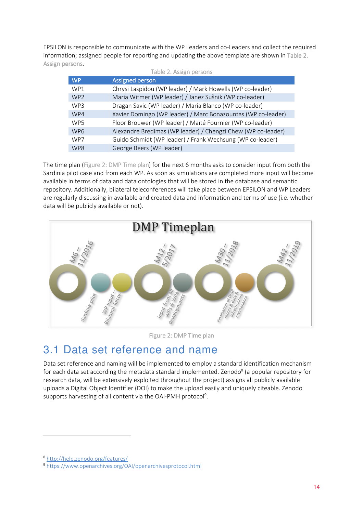EPSILON is responsible to communicate with the WP Leaders and co-Leaders and collect the required information; assigned people for reporting and updating the above template are shown in Table 2. Assign persons.

| Table 2. Assign persons |                                                              |  |  |
|-------------------------|--------------------------------------------------------------|--|--|
| WP                      | <b>Assigned person</b>                                       |  |  |
| WP1                     | Chrysi Laspidou (WP leader) / Mark Howells (WP co-leader)    |  |  |
| WP <sub>2</sub>         | Maria Witmer (WP leader) / Janez Sušnik (WP co-leader)       |  |  |
| WP3                     | Dragan Savic (WP leader) / Maria Blanco (WP co-leader)       |  |  |
| WP4                     | Xavier Domingo (WP leader) / Marc Bonazountas (WP co-leader) |  |  |
| WP5                     | Floor Brouwer (WP leader) / Maïté Fournier (WP co-leader)    |  |  |
| WP <sub>6</sub>         | Alexandre Bredimas (WP leader) / Chengzi Chew (WP co-leader) |  |  |
| WP7                     | Guido Schmidt (WP leader) / Frank Wechsung (WP co-leader)    |  |  |
| WP8                     | George Beers (WP leader)                                     |  |  |

The time plan (Figure 2: DMP Time plan) for the next 6 months asks to consider input from both the Sardinia pilot case and from each WP. As soon as simulations are completed more input will become available in terms of data and data ontologies that will be stored in the database and semantic repository. Additionally, bilateral teleconferences will take place between EPSILON and WP Leaders are regularly discussing in available and created data and information and terms of use (i.e. whether data will be publicly available or not).



Figure 2: DMP Time plan

### 3.1 Data set reference and name

Data set reference and naming will be implemented to employ a standard identification mechanism for each data set according the metadata standard implemented. Zenodo<sup>8</sup> (a popular repository for research data, will be extensively exploited throughout the project) assigns all publicly available uploads a Digital Object Identifier (DOI) to make the upload easily and uniquely citeable. Zenodo supports harvesting of all content via the OAI-PMH protocol<sup>9</sup>.

 $\overline{\phantom{0}}$ 

<sup>8</sup> http://help.zenodo.org/features/

<sup>9</sup> https://www.openarchives.org/OAI/openarchivesprotocol.html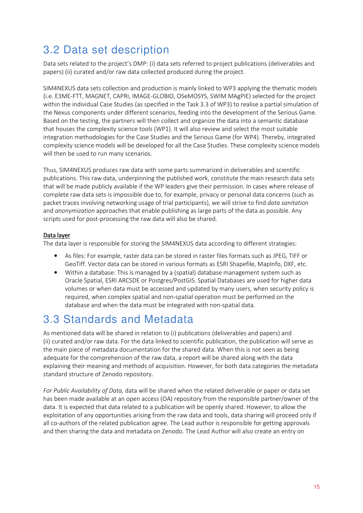## 3.2 Data set description

Data sets related to the project's DMP: (i) data sets referred to project publications (deliverables and papers) (ii) curated and/or raw data collected produced during the project.

SIM4NEXUS data sets collection and production is mainly linked to WP3 applying the thematic models (i.e. E3ME-FTT, MAGNET, CAPRI, IMAGE-GLOBIO, OSeMOSYS, SWIM MAgPIE) selected for the project within the individual Case Studies (as specified in the Task 3.3 of WP3) to realise a partial simulation of the Nexus components under different scenarios, feeding into the development of the Serious Game. Based on the testing, the partners will then collect and organize the data into a semantic database that houses the complexity science tools (WP1). It will also review and select the most suitable integration methodologies for the Case Studies and the Serious Game (for WP4). Thereby, integrated complexity science models will be developed for all the Case Studies. These complexity science models will then be used to run many scenarios.

Thus, SIM4NEXUS produces raw data with some parts summarized in deliverables and scientific publications. This raw data, underpinning the published work, constitute the main research data sets that will be made publicly available if the WP leaders give their permission. In cases where release of complete raw data sets is impossible due to, for example, privacy or personal data concerns (such as packet traces involving networking usage of trial participants), we will strive to find *data sanitation* and *anonymization* approaches that enable publishing as large parts of the data as possible. Any scripts used for post-processing the raw data will also be shared.

#### Data layer

The data layer is responsible for storing the SIM4NEXUS data according to different strategies:

- As files: For example, raster data can be stored in raster files formats such as JPEG, TIFF or GeoTiff. Vector data can be stored in various formats as ESRI Shapefile, MapInfo, DXF, etc.
- Within a database: This is managed by a (spatial) database management system such as Oracle Spatial, ESRI ARCSDE or Postgres/PostGIS. Spatial Databases are used for higher data volumes or when data must be accessed and updated by many users, when security policy is required, when complex spatial and non-spatial operation must be performed on the database and when the data must be integrated with non-spatial data.

### 3.3 Standards and Metadata

As mentioned data will be shared in relation to (i) publications (deliverables and papers) and (ii) curated and/or raw data. For the data linked to scientific publication, the publication will serve as the main piece of metadata documentation for the shared data. When this is not seen as being adequate for the comprehension of the raw data, a report will be shared along with the data explaining their meaning and methods of acquisition. However, for both data categories the metadata standard structure of Zenodo repository.

*For Public Availability of Data,* data will be shared when the related deliverable or paper or data set has been made available at an open access (OA) repository from the responsible partner/owner of the data. It is expected that data related to a publication will be openly shared. However, to allow the exploitation of any opportunities arising from the raw data and tools, data sharing will proceed only if all co-authors of the related publication agree. The Lead author is responsible for getting approvals and then sharing the data and metadata on Zenodo. The Lead Author will also create an entry on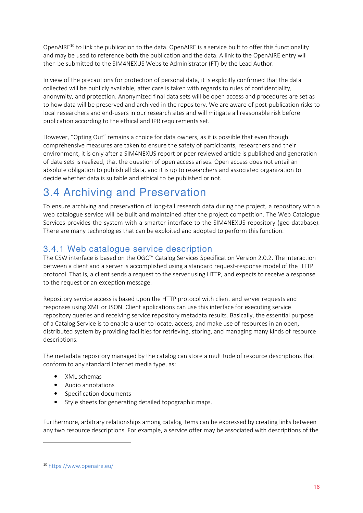OpenAIRE<sup>10</sup> to link the publication to the data. OpenAIRE is a service built to offer this functionality and may be used to reference both the publication and the data. A link to the OpenAIRE entry will then be submitted to the SIM4NEXUS Website Administrator (FT) by the Lead Author.

In view of the precautions for protection of personal data, it is explicitly confirmed that the data collected will be publicly available, after care is taken with regards to rules of confidentiality, anonymity, and protection. Anonymized final data sets will be open access and procedures are set as to how data will be preserved and archived in the repository. We are aware of post-publication risks to local researchers and end-users in our research sites and will mitigate all reasonable risk before publication according to the ethical and IPR requirements set.

However, "Opting Out" remains a choice for data owners, as it is possible that even though comprehensive measures are taken to ensure the safety of participants, researchers and their environment, it is only after a SIM4NEXUS report or peer reviewed article is published and generation of date sets is realized, that the question of open access arises. Open access does not entail an absolute obligation to publish all data, and it is up to researchers and associated organization to decide whether data is suitable and ethical to be published or not.

## 3.4 Archiving and Preservation

To ensure archiving and preservation of long-tail research data during the project, a repository with a web catalogue service will be built and maintained after the project competition. The Web Catalogue Services provides the system with a smarter interface to the SIM4NEXUS repository (geo-database). There are many technologies that can be exploited and adopted to perform this function.

#### 3.4.1 Web catalogue service description

The CSW interface is based on the OGC™ Catalog Services Specification Version 2.0.2. The interaction between a client and a server is accomplished using a standard request-response model of the HTTP protocol. That is, a client sends a request to the server using HTTP, and expects to receive a response to the request or an exception message.

Repository service access is based upon the HTTP protocol with client and server requests and responses using XML or JSON. Client applications can use this interface for executing service repository queries and receiving service repository metadata results. Basically, the essential purpose of a Catalog Service is to enable a user to locate, access, and make use of resources in an open, distributed system by providing facilities for retrieving, storing, and managing many kinds of resource descriptions.

The metadata repository managed by the catalog can store a multitude of resource descriptions that conform to any standard Internet media type, as:

- XML schemas
- Audio annotations
- Specification documents
- Style sheets for generating detailed topographic maps.

Furthermore, arbitrary relationships among catalog items can be expressed by creating links between any two resource descriptions. For example, a service offer may be associated with descriptions of the

l

<sup>10</sup> https://www.openaire.eu/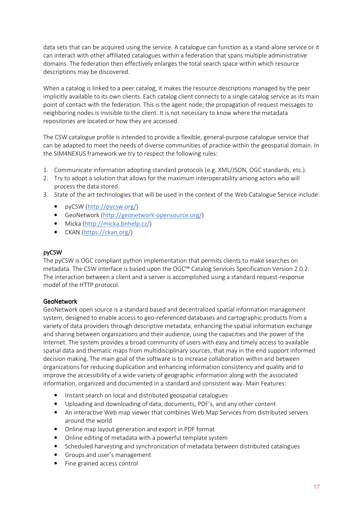data sets that can be acquired using the service. A catalogue can function as a stand-alone service or it can interact with other affiliated catalogues within a federation that spans multiple administrative domains. The federation then effectively enlarges the total search space within which resource descriptions may be discovered.

When a catalog is linked to a peer catalog, it makes the resource descriptions managed by the peer implicitly available to its own clients. Each catalog client connects to a single catalog service as its main point of contact with the federation. This is the agent node; the propagation of request messages to neighboring nodes is invisible to the client. It is not necessary to know where the metadata repositories are located or how they are accessed.

The CSW catalogue profile is intended to provide a flexible, general-purpose catalogue service that can be adapted to meet the needs of diverse communities of practice within the geospatial domain. In the SIM4NEXUS framework we try to respect the following rules:

- 1. Communicate information adopting standard protocols (e.g. XML/JSON, OGC standards, etc.).
- 2. Try to adopt a solution that allows for the maximum interoperability among actors who will process the data stored.
- 3. State of the art technologies that will be used in the context of the Web Catalogue Service include:
	- pyCSW (http://pycsw.org/)
	- GeoNetwork (http://geonetwork-opensource.org/)
	- Micka (http://micka.bnhelp.cz/)
	- CKAN (https://ckan.org/)

#### pyCSW

The pyCSW is OGC compliant python implementation that permits clients to make searches on metadata. The CSW interface is based upon the OGC™ Catalog Services Specification Version 2.0.2. The interaction between a client and a server is accomplished using a standard request-response model of the HTTP protocol.

#### GeoNetwork

GeoNetwork open source is a standard based and decentralized spatial information management system, designed to enable access to geo-referenced databases and cartographic products from a variety of data providers through descriptive metadata, enhancing the spatial information exchange and sharing between organizations and their audience, using the capacities and the power of the Internet. The system provides a broad community of users with easy and timely access to available spatial data and thematic maps from multidisciplinary sources, that may in the end support informed decision making. The main goal of the software is to increase collaboration within and between organizations for reducing duplication and enhancing information consistency and quality and to improve the accessibility of a wide variety of geographic information along with the associated information, organized and documented in a standard and consistent way. Main Features:

- Instant search on local and distributed geospatial catalogues
- Uploading and downloading of data, documents, PDF's, and any other content
- An interactive Web map viewer that combines Web Map Services from distributed servers around the world
- Online map layout generation and export in PDF format
- Online editing of metadata with a powerful template system
- Scheduled harvesting and synchronization of metadata between distributed catalogues
- Groups and user's management
- Fine grained access control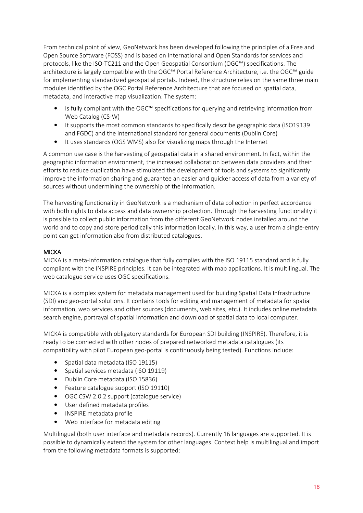From technical point of view, GeoNetwork has been developed following the principles of a Free and Open Source Software (FOSS) and is based on International and Open Standards for services and protocols, like the ISO-TC211 and the Open Geospatial Consortium (OGC™) specifications. The architecture is largely compatible with the OGC™ Portal Reference Architecture, i.e. the OGC™ guide for implementing standardized geospatial portals. Indeed, the structure relies on the same three main modules identified by the OGC Portal Reference Architecture that are focused on spatial data, metadata, and interactive map visualization. The system:

- Is fully compliant with the OGC™ specifications for querying and retrieving information from Web Catalog (CS-W)
- It supports the most common standards to specifically describe geographic data (ISO19139 and FGDC) and the international standard for general documents (Dublin Core)
- It uses standards (OGS WMS) also for visualizing maps through the Internet

A common use case is the harvesting of geospatial data in a shared environment. In fact, within the geographic information environment, the increased collaboration between data providers and their efforts to reduce duplication have stimulated the development of tools and systems to significantly improve the information sharing and guarantee an easier and quicker access of data from a variety of sources without undermining the ownership of the information.

The harvesting functionality in GeoNetwork is a mechanism of data collection in perfect accordance with both rights to data access and data ownership protection. Through the harvesting functionality it is possible to collect public information from the different GeoNetwork nodes installed around the world and to copy and store periodically this information locally. In this way, a user from a single-entry point can get information also from distributed catalogues.

#### MICKA

MICKA is a meta-information catalogue that fully complies with the ISO 19115 standard and is fully compliant with the INSPIRE principles. It can be integrated with map applications. It is multilingual. The web catalogue service uses OGC specifications.

MICKA is a complex system for metadata management used for building Spatial Data Infrastructure (SDI) and geo-portal solutions. It contains tools for editing and management of metadata for spatial information, web services and other sources (documents, web sites, etc.). It includes online metadata search engine, portrayal of spatial information and download of spatial data to local computer.

MICKA is compatible with obligatory standards for European SDI building (INSPIRE). Therefore, it is ready to be connected with other nodes of prepared networked metadata catalogues (its compatibility with pilot European geo-portal is continuously being tested). Functions include:

- Spatial data metadata (ISO 19115)
- Spatial services metadata (ISO 19119)
- Dublin Core metadata (ISO 15836)
- Feature catalogue support (ISO 19110)
- OGC CSW 2.0.2 support (catalogue service)
- User defined metadata profiles
- INSPIRE metadata profile
- Web interface for metadata editing

Multilingual (both user interface and metadata records). Currently 16 languages are supported. It is possible to dynamically extend the system for other languages. Context help is multilingual and import from the following metadata formats is supported: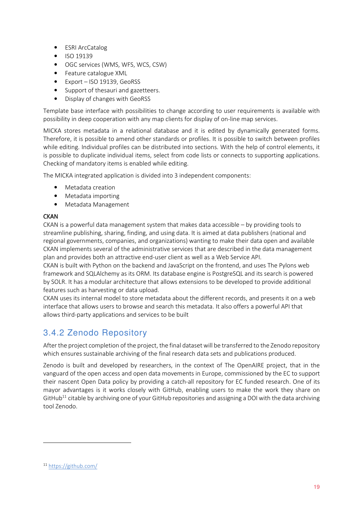- ESRI ArcCatalog
- ISO 19139
- OGC services (WMS, WFS, WCS, CSW)
- Feature catalogue XML
- Export ISO 19139, GeoRSS
- Support of thesauri and gazetteers.
- Display of changes with GeoRSS

Template base interface with possibilities to change according to user requirements is available with possibility in deep cooperation with any map clients for display of on-line map services.

MICKA stores metadata in a relational database and it is edited by dynamically generated forms. Therefore, it is possible to amend other standards or profiles. It is possible to switch between profiles while editing. Individual profiles can be distributed into sections. With the help of control elements, it is possible to duplicate individual items, select from code lists or connects to supporting applications. Checking of mandatory items is enabled while editing.

The MICKA integrated application is divided into 3 independent components:

- Metadata creation
- Metadata importing
- Metadata Management

#### **CKAN**

CKAN is a powerful data management system that makes data accessible – by providing tools to streamline publishing, sharing, finding, and using data. It is aimed at data publishers (national and regional governments, companies, and organizations) wanting to make their data open and available CKAN implements several of the administrative services that are described in the data management plan and provides both an attractive end-user client as well as a Web Service API.

CKAN is built with Python on the backend and JavaScript on the frontend, and uses The Pylons web framework and SQLAlchemy as its ORM. Its database engine is PostgreSQL and its search is powered by SOLR. It has a modular architecture that allows extensions to be developed to provide additional features such as harvesting or data upload.

CKAN uses its internal model to store metadata about the different records, and presents it on a web interface that allows users to browse and search this metadata. It also offers a powerful API that allows third-party applications and services to be built

#### 3.4.2 Zenodo Repository

After the project completion of the project, the final dataset will be transferred to the Zenodo repository which ensures sustainable archiving of the final research data sets and publications produced.

Zenodo is built and developed by researchers, in the context of The OpenAIRE project, that in the vanguard of the open access and open data movements in Europe, commissioned by the EC to support their nascent Open Data policy by providing a catch-all repository for EC funded research. One of its mayor advantages is it works closely with GitHub, enabling users to make the work they share on GitHub<sup>11</sup> citable by archiving one of your GitHub repositories and assigning a DOI with the data archiving tool Zenodo.

l

<sup>11</sup> https://github.com/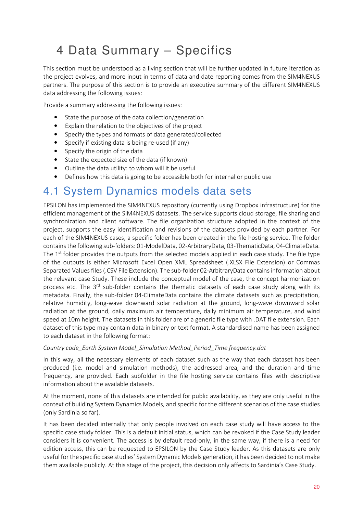## 4 Data Summary – Specifics

This section must be understood as a living section that will be further updated in future iteration as the project evolves, and more input in terms of data and date reporting comes from the SIM4NEXUS partners. The purpose of this section is to provide an executive summary of the different SIM4NEXUS data addressing the following issues:

Provide a summary addressing the following issues:

- State the purpose of the data collection/generation
- Explain the relation to the objectives of the project
- Specify the types and formats of data generated/collected
- Specify if existing data is being re-used (if any)
- Specify the origin of the data
- State the expected size of the data (if known)
- Outline the data utility: to whom will it be useful
- Defines how this data is going to be accessible both for internal or public use

#### 4.1 System Dynamics models data sets

EPSILON has implemented the SIM4NEXUS repository (currently using Dropbox infrastructure) for the efficient management of the SIM4NEXUS datasets. The service supports cloud storage, file sharing and synchronization and client software. The file organization structure adopted in the context of the project, supports the easy identification and revisions of the datasets provided by each partner. For each of the SIM4NEXUS cases, a specific folder has been created in the file hosting service. The folder contains the following sub-folders: 01-ModelData, 02-ArbitraryData, 03-ThematicData, 04-ClimateData. The  $1<sup>st</sup>$  folder provides the outputs from the selected models applied in each case study. The file type of the outputs is either Microsoft Excel Open XML Spreadsheet (.XLSX File Extension) or Commas Separated Values files (.CSV File Extension). The sub-folder 02-ArbitraryData contains information about the relevant case Study. These include the conceptual model of the case, the concept harmonization process etc. The  $3<sup>rd</sup>$  sub-folder contains the thematic datasets of each case study along with its metadata. Finally, the sub-folder 04-ClimateData contains the climate datasets such as precipitation, relative humidity, long-wave downward solar radiation at the ground, long-wave downward solar radiation at the ground, daily maximum air temperature, daily minimum air temperature, and wind speed at 10m height. The datasets in this folder are of a generic file type with .DAT file extension. Each dataset of this type may contain data in binary or text format. A standardised name has been assigned to each dataset in the following format:

#### *Country code\_Earth System Model\_Simulation Method\_Period\_Time frequency.dat*

In this way, all the necessary elements of each dataset such as the way that each dataset has been produced (i.e. model and simulation methods), the addressed area, and the duration and time frequency, are provided. Each subfolder in the file hosting service contains files with descriptive information about the available datasets.

At the moment, none of this datasets are intended for public availability, as they are only useful in the context of building System Dynamics Models, and specific for the different scenarios of the case studies (only Sardinia so far).

It has been decided internally that only people involved on each case study will have access to the specific case study folder. This is a default initial status, which can be revoked if the Case Study leader considers it is convenient. The access is by default read-only, in the same way, if there is a need for edition access, this can be requested to EPSILON by the Case Study leader. As this datasets are only useful for the specific case studies' System Dynamic Models generation, it has been decided to not make them available publicly. At this stage of the project, this decision only affects to Sardinia's Case Study.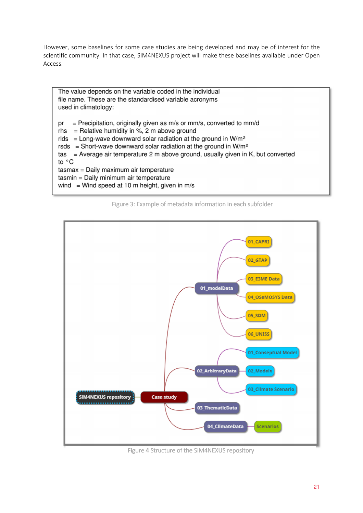However, some baselines for some case studies are being developed and may be of interest for the scientific community. In that case, SIM4NEXUS project will make these baselines available under Open Access.

The value depends on the variable coded in the individual file name. These are the standardised variable acronyms used in climatology: = Precipitation, originally given as m/s or mm/s, converted to mm/d pr rhs = Relative humidity in %, 2 m above ground rlds = Long-wave downward solar radiation at the ground in  $W/m^2$ rsds = Short-wave downward solar radiation at the ground in  $W/m^2$ tas = Average air temperature 2 m above ground, usually given in K, but converted to °C tasmax = Daily maximum air temperature tasmin = Daily minimum air temperature wind = Wind speed at 10 m height, given in  $m/s$ 

Figure 3: Example of metadata information in each subfolder



Figure 4 Structure of the SIM4NEXUS repository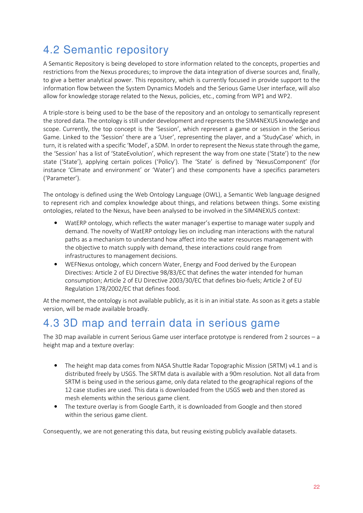## 4.2 Semantic repository

A Semantic Repository is being developed to store information related to the concepts, properties and restrictions from the Nexus procedures; to improve the data integration of diverse sources and, finally, to give a better analytical power. This repository, which is currently focused in provide support to the information flow between the System Dynamics Models and the Serious Game User interface, will also allow for knowledge storage related to the Nexus, policies, etc., coming from WP1 and WP2.

A triple-store is being used to be the base of the repository and an ontology to semantically represent the stored data. The ontology is still under development and represents the SIM4NEXUS knowledge and scope. Currently, the top concept is the 'Session', which represent a game or session in the Serious Game. Linked to the 'Session' there are a 'User', representing the player, and a 'StudyCase' which, in turn, it is related with a specific 'Model', a SDM. In order to represent the Nexus state through the game, the 'Session' has a list of 'StateEvolution', which represent the way from one state ('State') to the new state ('State'), applying certain polices ('Policy'). The 'State' is defined by 'NexusComponent' (for instance 'Climate and environment' or 'Water') and these components have a specifics parameters ('Parameter').

The ontology is defined using the Web Ontology Language (OWL), a Semantic Web language designed to represent rich and complex knowledge about things, and relations between things. Some existing ontologies, related to the Nexus, have been analysed to be involved in the SIM4NEXUS context:

- WatERP ontology, which reflects the water manager's expertise to manage water supply and demand. The novelty of WatERP ontology lies on including man interactions with the natural paths as a mechanism to understand how affect into the water resources management with the objective to match supply with demand, these interactions could range from infrastructures to management decisions.
- WEFNexus ontology, which concern Water, Energy and Food derived by the European Directives: Article 2 of EU Directive 98/83/EC that defines the water intended for human consumption; Article 2 of EU Directive 2003/30/EC that defines bio-fuels; Article 2 of EU Regulation 178/2002/EC that defines food.

At the moment, the ontology is not available publicly, as it is in an initial state. As soon as it gets a stable version, will be made available broadly.

### 4.3 3D map and terrain data in serious game

The 3D map available in current Serious Game user interface prototype is rendered from 2 sources – a height map and a texture overlay:

- The height map data comes from NASA Shuttle Radar Topographic Mission (SRTM) v4.1 and is distributed freely by USGS. The SRTM data is available with a 90m resolution. Not all data from SRTM is being used in the serious game, only data related to the geographical regions of the 12 case studies are used. This data is downloaded from the USGS web and then stored as mesh elements within the serious game client.
- The texture overlay is from Google Earth, it is downloaded from Google and then stored within the serious game client.

Consequently, we are not generating this data, but reusing existing publicly available datasets.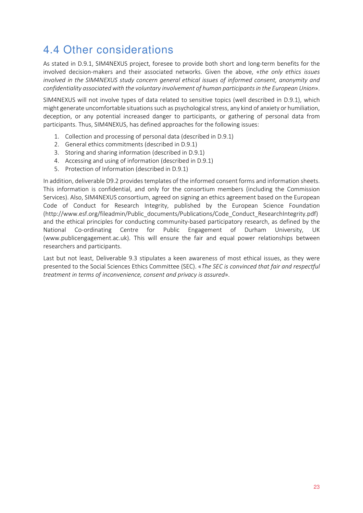## 4.4 Other considerations

As stated in D.9.1, SIM4NEXUS project, foresee to provide both short and long-term benefits for the involved decision-makers and their associated networks. Given the above, «*the only ethics issues involved in the SIM4NEXUS study concern general ethical issues of informed consent, anonymity and confidentiality associated with the voluntary involvement of human participants in the European Union*».

SIM4NEXUS will not involve types of data related to sensitive topics (well described in D.9.1), which might generate uncomfortable situations such as psychological stress, any kind of anxiety or humiliation, deception, or any potential increased danger to participants, or gathering of personal data from participants. Thus, SIM4NEXUS, has defined approaches for the following issues:

- 1. Collection and processing of personal data (described in D.9.1)
- 2. General ethics commitments (described in D.9.1)
- 3. Storing and sharing information (described in D.9.1)
- 4. Accessing and using of information (described in D.9.1)
- 5. Protection of Information (described in D.9.1)

In addition, deliverable D9.2 provides templates of the informed consent forms and information sheets. This information is confidential, and only for the consortium members (including the Commission Services). Also, SIM4NEXUS consortium, agreed on signing an ethics agreement based on the European Code of Conduct for Research Integrity, published by the European Science Foundation (http://www.esf.org/fileadmin/Public\_documents/Publications/Code\_Conduct\_ResearchIntegrity.pdf) and the ethical principles for conducting community-based participatory research, as defined by the National Co-ordinating Centre for Public Engagement of Durham University, UK (www.publicengagement.ac.uk). This will ensure the fair and equal power relationships between researchers and participants.

Last but not least, Deliverable 9.3 stipulates a keen awareness of most ethical issues, as they were presented to the Social Sciences Ethics Committee (SEC). «*The SEC is convinced that fair and respectful treatment in terms of inconvenience, consent and privacy is assured*».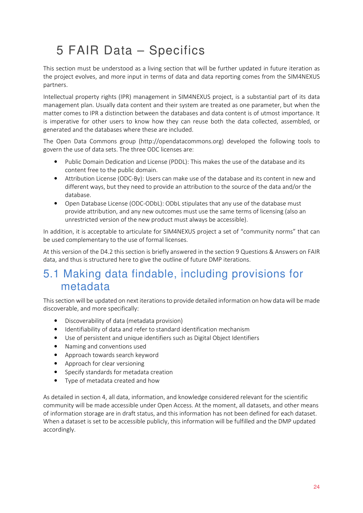# 5 FAIR Data – Specifics

This section must be understood as a living section that will be further updated in future iteration as the project evolves, and more input in terms of data and data reporting comes from the SIM4NEXUS partners.

Intellectual property rights (IPR) management in SIM4NEXUS project, is a substantial part of its data management plan. Usually data content and their system are treated as one parameter, but when the matter comes to IPR a distinction between the databases and data content is of utmost importance. It is imperative for other users to know how they can reuse both the data collected, assembled, or generated and the databases where these are included.

The Open Data Commons group (http://opendatacommons.org) developed the following tools to govern the use of data sets. The three ODC licenses are:

- Public Domain Dedication and License (PDDL): This makes the use of the database and its content free to the public domain.
- Attribution License (ODC-By): Users can make use of the database and its content in new and different ways, but they need to provide an attribution to the source of the data and/or the database.
- Open Database License (ODC-ODbL): ODbL stipulates that any use of the database must provide attribution, and any new outcomes must use the same terms of licensing (also an unrestricted version of the new product must always be accessible).

In addition, it is acceptable to articulate for SIM4NEXUS project a set of "community norms" that can be used complementary to the use of formal licenses.

At this version of the D4.2 this section is briefly answered in the section 9 Questions & Answers on FAIR data, and thus is structured here to give the outline of future DMP iterations.

### 5.1 Making data findable, including provisions for metadata

This section will be updated on next iterations to provide detailed information on how data will be made discoverable, and more specifically:

- Discoverability of data (metadata provision)
- Identifiability of data and refer to standard identification mechanism
- Use of persistent and unique identifiers such as Digital Object Identifiers
- Naming and conventions used
- Approach towards search keyword
- Approach for clear versioning
- Specify standards for metadata creation
- Type of metadata created and how

As detailed in section 4, all data, information, and knowledge considered relevant for the scientific community will be made accessible under Open Access. At the moment, all datasets, and other means of information storage are in draft status, and this information has not been defined for each dataset. When a dataset is set to be accessible publicly, this information will be fulfilled and the DMP updated accordingly.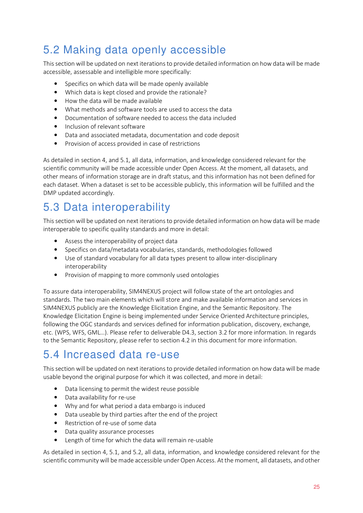## 5.2 Making data openly accessible

This section will be updated on next iterations to provide detailed information on how data will be made accessible, assessable and intelligible more specifically:

- Specifics on which data will be made openly available
- Which data is kept closed and provide the rationale?
- How the data will be made available
- What methods and software tools are used to access the data
- Documentation of software needed to access the data included
- Inclusion of relevant software
- Data and associated metadata, documentation and code deposit
- Provision of access provided in case of restrictions

As detailed in section 4, and 5.1, all data, information, and knowledge considered relevant for the scientific community will be made accessible under Open Access. At the moment, all datasets, and other means of information storage are in draft status, and this information has not been defined for each dataset. When a dataset is set to be accessible publicly, this information will be fulfilled and the DMP updated accordingly.

### 5.3 Data interoperability

This section will be updated on next iterations to provide detailed information on how data will be made interoperable to specific quality standards and more in detail:

- Assess the interoperability of project data
- Specifics on data/metadata vocabularies, standards, methodologies followed
- Use of standard vocabulary for all data types present to allow inter-disciplinary interoperability
- Provision of mapping to more commonly used ontologies

To assure data interoperability, SIM4NEXUS project will follow state of the art ontologies and standards. The two main elements which will store and make available information and services in SIM4NEXUS publicly are the Knowledge Elicitation Engine, and the Semantic Repository. The Knowledge Elicitation Engine is being implemented under Service Oriented Architecture principles, following the OGC standards and services defined for information publication, discovery, exchange, etc. (WPS, WFS, GML…). Please refer to deliverable D4.3, section 3.2 for more information. In regards to the Semantic Repository, please refer to section 4.2 in this document for more information.

### 5.4 Increased data re-use

This section will be updated on next iterations to provide detailed information on how data will be made usable beyond the original purpose for which it was collected, and more in detail:

- Data licensing to permit the widest reuse possible
- Data availability for re-use
- Why and for what period a data embargo is induced
- Data useable by third parties after the end of the project
- Restriction of re-use of some data
- Data quality assurance processes
- Length of time for which the data will remain re-usable

As detailed in section 4, 5.1, and 5.2, all data, information, and knowledge considered relevant for the scientific community will be made accessible under Open Access. At the moment, all datasets, and other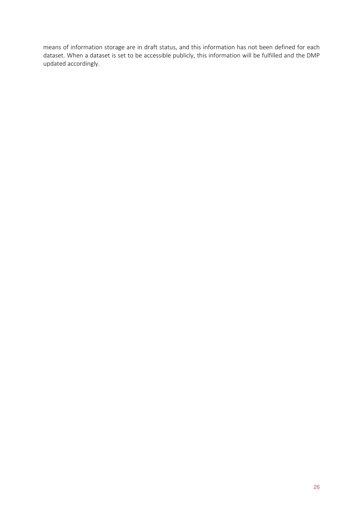means of information storage are in draft status, and this information has not been defined for each dataset. When a dataset is set to be accessible publicly, this information will be fulfilled and the DMP updated accordingly.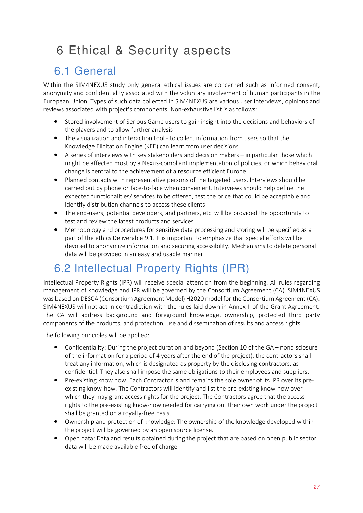# 6 Ethical & Security aspects

## 6.1 General

Within the SIM4NEXUS study only general ethical issues are concerned such as informed consent, anonymity and confidentiality associated with the voluntary involvement of human participants in the European Union. Types of such data collected in SIM4NEXUS are various user interviews, opinions and reviews associated with project's components. Non-exhaustive list is as follows:

- Stored involvement of Serious Game users to gain insight into the decisions and behaviors of the players and to allow further analysis
- The visualization and interaction tool to collect information from users so that the Knowledge Elicitation Engine (KEE) can learn from user decisions
- A series of interviews with key stakeholders and decision makers in particular those which might be affected most by a Nexus-compliant implementation of policies, or which behavioral change is central to the achievement of a resource efficient Europe
- Planned contacts with representative persons of the targeted users. Interviews should be carried out by phone or face-to-face when convenient. Interviews should help define the expected functionalities/ services to be offered, test the price that could be acceptable and identify distribution channels to access these clients
- The end-users, potential developers, and partners, etc. will be provided the opportunity to test and review the latest products and services
- Methodology and procedures for sensitive data processing and storing will be specified as a part of the ethics Deliverable 9.1. It is important to emphasize that special efforts will be devoted to anonymize information and securing accessibility. Mechanisms to delete personal data will be provided in an easy and usable manner

## 6.2 Intellectual Property Rights (IPR)

Intellectual Property Rights (IPR) will receive special attention from the beginning. All rules regarding management of knowledge and IPR will be governed by the Consortium Agreement (CA). SIM4NEXUS was based on DESCA (Consortium Agreement Model) H2020 model for the Consortium Agreement (CA). SIM4NEXUS will not act in contradiction with the rules laid down in Annex II of the Grant Agreement. The CA will address background and foreground knowledge, ownership, protected third party components of the products, and protection, use and dissemination of results and access rights.

The following principles will be applied:

- Confidentiality: During the project duration and beyond (Section 10 of the GA nondisclosure of the information for a period of 4 years after the end of the project), the contractors shall treat any information, which is designated as property by the disclosing contractors, as confidential. They also shall impose the same obligations to their employees and suppliers.
- Pre-existing know how: Each Contractor is and remains the sole owner of its IPR over its preexisting know-how. The Contractors will identify and list the pre-existing know-how over which they may grant access rights for the project. The Contractors agree that the access rights to the pre-existing know-how needed for carrying out their own work under the project shall be granted on a royalty-free basis.
- Ownership and protection of knowledge: The ownership of the knowledge developed within the project will be governed by an open source license.
- Open data: Data and results obtained during the project that are based on open public sector data will be made available free of charge.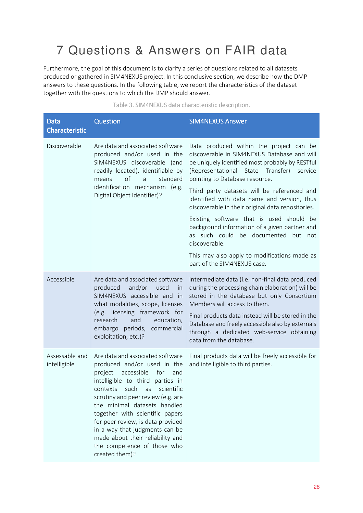## 7 Questions & Answers on FAIR data

Furthermore, the goal of this document is to clarify a series of questions related to all datasets produced or gathered in SIM4NEXUS project. In this conclusive section, we describe how the DMP answers to these questions. In the following table, we report the characteristics of the dataset together with the questions to which the DMP should answer.

| <b>Data</b><br>Characteristic  | <b>Question</b>                                                                                                                                                                                                                                                                                                                                                                                                                                         | <b>SIM4NEXUS Answer</b>                                                                                                                                                                                                                                                                                                                                                                                                                                                                                                                                                                                                  |
|--------------------------------|---------------------------------------------------------------------------------------------------------------------------------------------------------------------------------------------------------------------------------------------------------------------------------------------------------------------------------------------------------------------------------------------------------------------------------------------------------|--------------------------------------------------------------------------------------------------------------------------------------------------------------------------------------------------------------------------------------------------------------------------------------------------------------------------------------------------------------------------------------------------------------------------------------------------------------------------------------------------------------------------------------------------------------------------------------------------------------------------|
| Discoverable                   | Are data and associated software<br>produced and/or used in the<br>SIM4NEXUS discoverable (and<br>readily located), identifiable by<br>of<br>standard<br>means<br>a<br>identification mechanism (e.g.<br>Digital Object Identifier)?                                                                                                                                                                                                                    | Data produced within the project can be<br>discoverable in SIM4NEXUS Database and will<br>be uniquely identified most probably by RESTful<br>(Representational<br>State Transfer)<br>service<br>pointing to Database resource.<br>Third party datasets will be referenced and<br>identified with data name and version, thus<br>discoverable in their original data repositories.<br>Existing software that is used should be<br>background information of a given partner and<br>as such could<br>be documented but not<br>discoverable.<br>This may also apply to modifications made as<br>part of the SIM4NEXUS case. |
| Accessible                     | Are data and associated software<br>produced<br>and/or<br>used<br><i>in</i><br>SIM4NEXUS accessible and in<br>what modalities, scope, licenses<br>(e.g. licensing framework for<br>research<br>and<br>education,<br>embargo periods, commercial<br>exploitation, etc.)?                                                                                                                                                                                 | Intermediate data (i.e. non-final data produced<br>during the processing chain elaboration) will be<br>stored in the database but only Consortium<br>Members will access to them.<br>Final products data instead will be stored in the<br>Database and freely accessible also by externals<br>through a dedicated web-service obtaining<br>data from the database.                                                                                                                                                                                                                                                       |
| Assessable and<br>intelligible | Are data and associated software<br>produced and/or used in the<br>accessible<br>project<br>for<br>and<br>intelligible to third parties in<br>such<br>scientific<br>contexts<br>as<br>scrutiny and peer review (e.g. are<br>the minimal datasets handled<br>together with scientific papers<br>for peer review, is data provided<br>in a way that judgments can be<br>made about their reliability and<br>the competence of those who<br>created them)? | Final products data will be freely accessible for<br>and intelligible to third parties.                                                                                                                                                                                                                                                                                                                                                                                                                                                                                                                                  |

Table 3. SIM4NEXUS data characteristic description.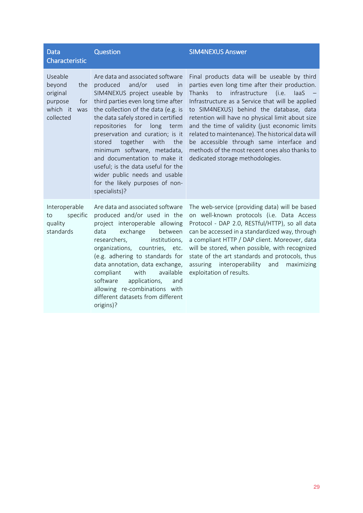| <b>Data</b><br><b>Characteristic</b>                                                   | Question                                                                                                                                                                                                                                                                                                                                                                                                                                                                                                                           | <b>SIM4NEXUS Answer</b>                                                                                                                                                                                                                                                                                                                                                                                                                                                                                                                              |
|----------------------------------------------------------------------------------------|------------------------------------------------------------------------------------------------------------------------------------------------------------------------------------------------------------------------------------------------------------------------------------------------------------------------------------------------------------------------------------------------------------------------------------------------------------------------------------------------------------------------------------|------------------------------------------------------------------------------------------------------------------------------------------------------------------------------------------------------------------------------------------------------------------------------------------------------------------------------------------------------------------------------------------------------------------------------------------------------------------------------------------------------------------------------------------------------|
| Useable<br>beyond<br>the<br>original<br>purpose<br>for<br>which it<br>was<br>collected | Are data and associated software<br>produced<br>and/or<br>used<br>in<br>SIM4NEXUS project useable by<br>third parties even long time after<br>the collection of the data (e.g. is<br>the data safely stored in certified<br>for<br>repositories<br>long<br>term<br>preservation and curation; is it<br>the<br>stored<br>together<br>with<br>minimum software, metadata,<br>and documentation to make it<br>useful; is the data useful for the<br>wider public needs and usable<br>for the likely purposes of non-<br>specialists)? | Final products data will be useable by third<br>parties even long time after their production.<br>infrastructure<br><b>Thanks</b><br>to<br>(i.e.<br>laaS<br>Infrastructure as a Service that will be applied<br>to SIM4NEXUS) behind the database, data<br>retention will have no physical limit about size<br>and the time of validity (just economic limits<br>related to maintenance). The historical data will<br>be accessible through same interface and<br>methods of the most recent ones also thanks to<br>dedicated storage methodologies. |
| Interoperable<br>specific<br>to<br>quality<br>standards                                | Are data and associated software<br>produced and/or used in the<br>project interoperable allowing<br>exchange<br>data<br>between<br>institutions,<br>researchers,<br>organizations,<br>countries, etc.<br>(e.g. adhering to standards for<br>data annotation, data exchange,<br>compliant<br>with<br>available<br>software<br>applications,<br>and<br>allowing re-combinations with<br>different datasets from different<br>origins)?                                                                                              | The web-service (providing data) will be based<br>on well-known protocols (i.e. Data Access<br>Protocol - DAP 2.0, RESTful/HTTP), so all data<br>can be accessed in a standardized way, through<br>a compliant HTTP / DAP client. Moreover, data<br>will be stored, when possible, with recognized<br>state of the art standards and protocols, thus<br>interoperability<br>assuring<br>maximizing<br>and<br>exploitation of results.                                                                                                                |